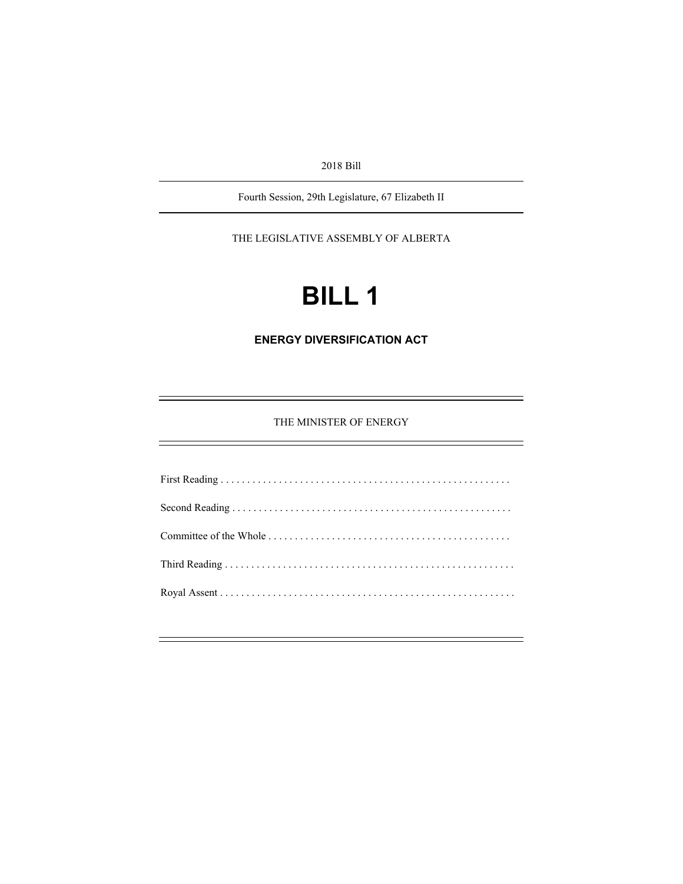2018 Bill

Fourth Session, 29th Legislature, 67 Elizabeth II

THE LEGISLATIVE ASSEMBLY OF ALBERTA

# **BILL 1**

**ENERGY DIVERSIFICATION ACT** 

THE MINISTER OF ENERGY

First Reading . . . . . . . . . . . . . . . . . . . . . . . . . . . . . . . . . . . . . . . . . . . . . . . . . . . . . . . Second Reading . . . . . . . . . . . . . . . . . . . . . . . . . . . . . . . . . . . . . . . . . . . . . . . . . . . . . Committee of the Whole . . . . . . . . . . . . . . . . . . . . . . . . . . . . . . . . . . . . . . . . . . . . . . Third Reading . . . . . . . . . . . . . . . . . . . . . . . . . . . . . . . . . . . . . . . . . . . . . . . . . . . . . . . Royal Assent . . . . . . . . . . . . . . . . . . . . . . . . . . . . . . . . . . . . . . . . . . . . . . . . . . . . . . . .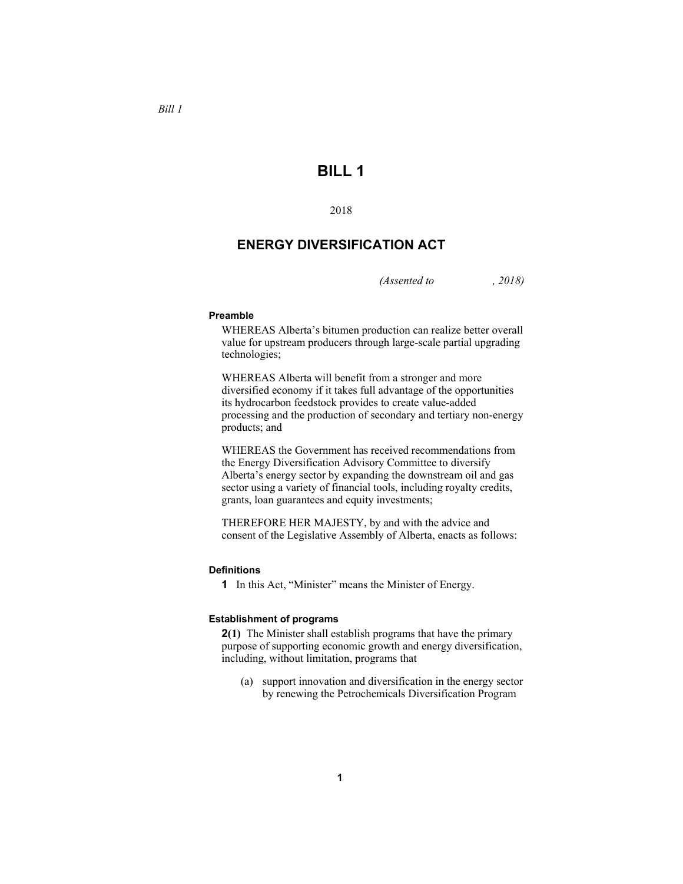## **BILL 1**

2018

### **ENERGY DIVERSIFICATION ACT**

*(Assented to , 2018)* 

#### **Preamble**

WHEREAS Alberta's bitumen production can realize better overall value for upstream producers through large-scale partial upgrading technologies;

WHEREAS Alberta will benefit from a stronger and more diversified economy if it takes full advantage of the opportunities its hydrocarbon feedstock provides to create value-added processing and the production of secondary and tertiary non-energy products; and

WHEREAS the Government has received recommendations from the Energy Diversification Advisory Committee to diversify Alberta's energy sector by expanding the downstream oil and gas sector using a variety of financial tools, including royalty credits, grants, loan guarantees and equity investments;

THEREFORE HER MAJESTY, by and with the advice and consent of the Legislative Assembly of Alberta, enacts as follows:

#### **Definitions**

**1** In this Act, "Minister" means the Minister of Energy.

#### **Establishment of programs**

**2(1)** The Minister shall establish programs that have the primary purpose of supporting economic growth and energy diversification, including, without limitation, programs that

 (a) support innovation and diversification in the energy sector by renewing the Petrochemicals Diversification Program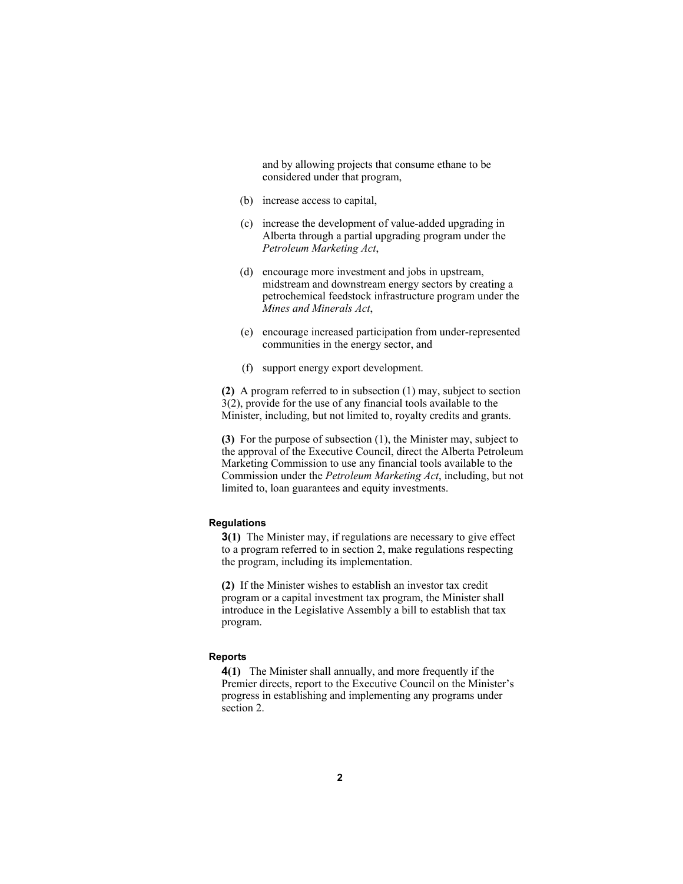and by allowing projects that consume ethane to be considered under that program,

- (b) increase access to capital,
- (c) increase the development of value-added upgrading in Alberta through a partial upgrading program under the *Petroleum Marketing Act*,
- (d) encourage more investment and jobs in upstream, midstream and downstream energy sectors by creating a petrochemical feedstock infrastructure program under the *Mines and Minerals Act*,
- (e) encourage increased participation from under-represented communities in the energy sector, and
- (f) support energy export development.

**(2)** A program referred to in subsection (1) may, subject to section 3(2), provide for the use of any financial tools available to the Minister, including, but not limited to, royalty credits and grants.

**(3)** For the purpose of subsection (1), the Minister may, subject to the approval of the Executive Council, direct the Alberta Petroleum Marketing Commission to use any financial tools available to the Commission under the *Petroleum Marketing Act*, including, but not limited to, loan guarantees and equity investments.

#### **Regulations**

**3(1)** The Minister may, if regulations are necessary to give effect to a program referred to in section 2, make regulations respecting the program, including its implementation.

**(2)** If the Minister wishes to establish an investor tax credit program or a capital investment tax program, the Minister shall introduce in the Legislative Assembly a bill to establish that tax program.

#### **Reports**

**4(1)** The Minister shall annually, and more frequently if the Premier directs, report to the Executive Council on the Minister's progress in establishing and implementing any programs under section 2.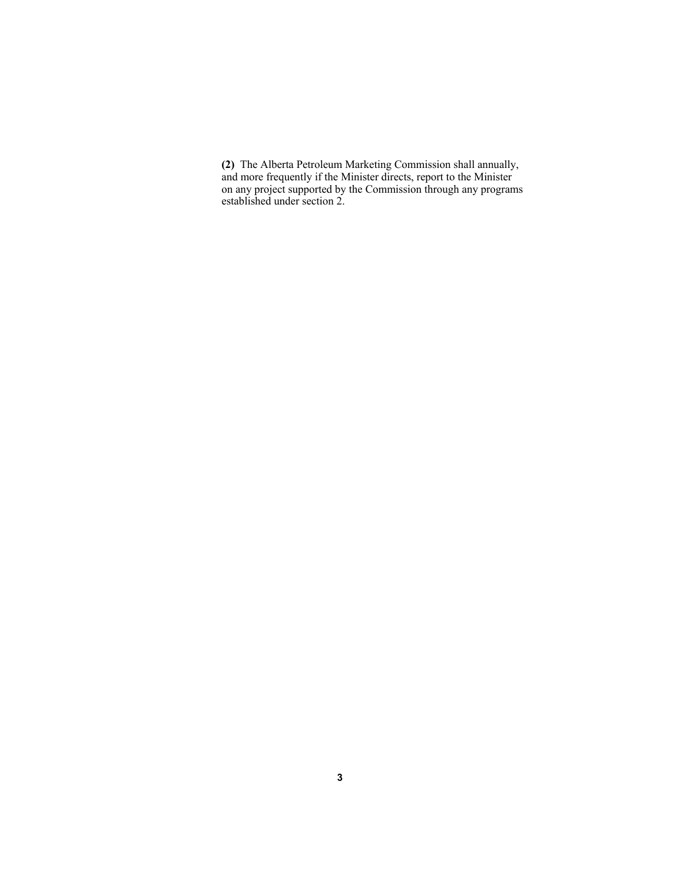**(2)** The Alberta Petroleum Marketing Commission shall annually, and more frequently if the Minister directs, report to the Minister on any project supported by the Commission through any programs established under section 2.